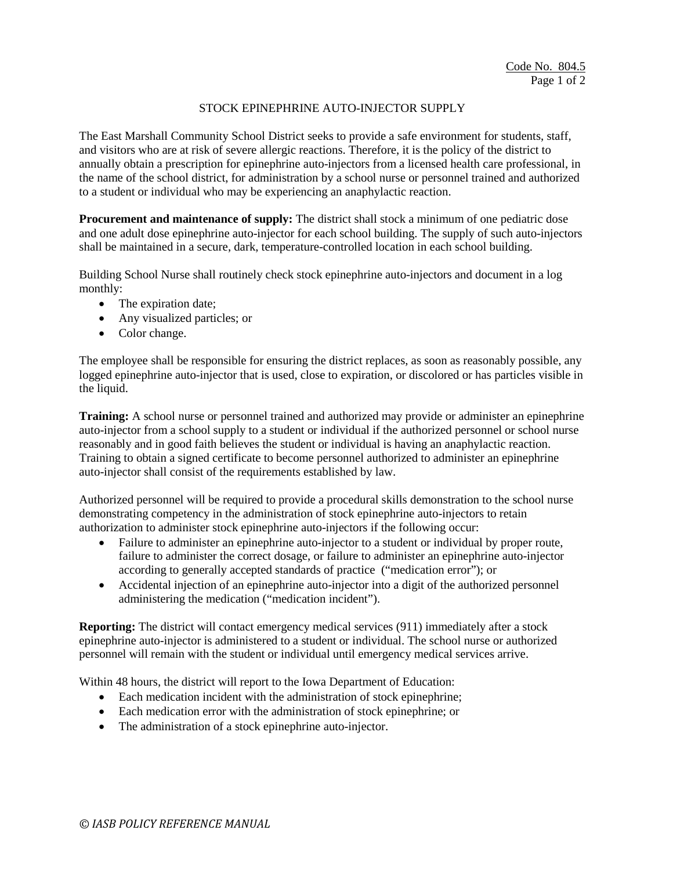## STOCK EPINEPHRINE AUTO-INJECTOR SUPPLY

The East Marshall Community School District seeks to provide a safe environment for students, staff, and visitors who are at risk of severe allergic reactions. Therefore, it is the policy of the district to annually obtain a prescription for epinephrine auto-injectors from a licensed health care professional, in the name of the school district, for administration by a school nurse or personnel trained and authorized to a student or individual who may be experiencing an anaphylactic reaction.

**Procurement and maintenance of supply:** The district shall stock a minimum of one pediatric dose and one adult dose epinephrine auto-injector for each school building. The supply of such auto-injectors shall be maintained in a secure, dark, temperature-controlled location in each school building.

Building School Nurse shall routinely check stock epinephrine auto-injectors and document in a log monthly:

- The expiration date;
- Any visualized particles; or
- Color change.

The employee shall be responsible for ensuring the district replaces, as soon as reasonably possible, any logged epinephrine auto-injector that is used, close to expiration, or discolored or has particles visible in the liquid.

**Training:** A school nurse or personnel trained and authorized may provide or administer an epinephrine auto-injector from a school supply to a student or individual if the authorized personnel or school nurse reasonably and in good faith believes the student or individual is having an anaphylactic reaction. Training to obtain a signed certificate to become personnel authorized to administer an epinephrine auto-injector shall consist of the requirements established by law.

Authorized personnel will be required to provide a procedural skills demonstration to the school nurse demonstrating competency in the administration of stock epinephrine auto-injectors to retain authorization to administer stock epinephrine auto-injectors if the following occur:

- Failure to administer an epinephrine auto-injector to a student or individual by proper route, failure to administer the correct dosage, or failure to administer an epinephrine auto-injector according to generally accepted standards of practice ("medication error"); or
- Accidental injection of an epinephrine auto-injector into a digit of the authorized personnel administering the medication ("medication incident").

**Reporting:** The district will contact emergency medical services (911) immediately after a stock epinephrine auto-injector is administered to a student or individual. The school nurse or authorized personnel will remain with the student or individual until emergency medical services arrive.

Within 48 hours, the district will report to the Iowa Department of Education:

- Each medication incident with the administration of stock epinephrine;
- Each medication error with the administration of stock epinephrine; or
- The administration of a stock epinephrine auto-injector.